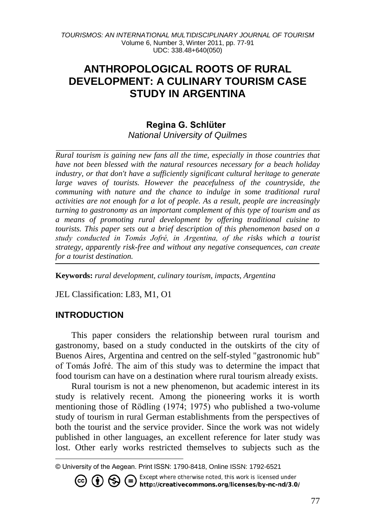# **ANTHROPOLOGICAL ROOTS OF RURAL DEVELOPMENT: A CULINARY TOURISM CASE STUDY IN ARGENTINA**

### **Regina G. Schlüter** *National University of Quilmes*

*Rural tourism is gaining new fans all the time, especially in those countries that have not been blessed with the natural resources necessary for a beach holiday industry, or that don't have a sufficiently significant cultural heritage to generate*  large waves of tourists. However the peacefulness of the countryside, the *communing with nature and the chance to indulge in some traditional rural activities are not enough for a lot of people. As a result, people are increasingly turning to gastronomy as an important complement of this type of tourism and as a means of promoting rural development by offering traditional cuisine to tourists. This paper sets out a brief description of this phenomenon based on a study conducted in Tomás Jofré, in Argentina, of the risks which a tourist strategy, apparently risk-free and without any negative consequences, can create for a tourist destination.*

**Keywords:** *rural development, culinary tourism, impacts, Argentina*

JEL Classification: L83, M1, O1

### **INTRODUCTION**

l

This paper considers the relationship between rural tourism and gastronomy, based on a study conducted in the outskirts of the city of Buenos Aires, Argentina and centred on the self-styled "gastronomic hub" of Tomás Jofré. The aim of this study was to determine the impact that food tourism can have on a destination where rural tourism already exists.

Rural tourism is not a new phenomenon, but academic interest in its study is relatively recent. Among the pioneering works it is worth mentioning those of Rödling (1974; 1975) who published a two-volume study of tourism in rural German establishments from the perspectives of both the tourist and the service provider. Since the work was not widely published in other languages, an excellent reference for later study was lost. Other early works restricted themselves to subjects such as the

Except where otherwise noted, this work is licensed under Except where otherwise noted, this work is licensed under<br>http://creativecommons.org/licenses/by-nc-nd/3.0/  $(1)$  $\approx$ 

<sup>©</sup> University of the Aegean. Print ISSN: 1790-8418, Online ISSN: 1792-6521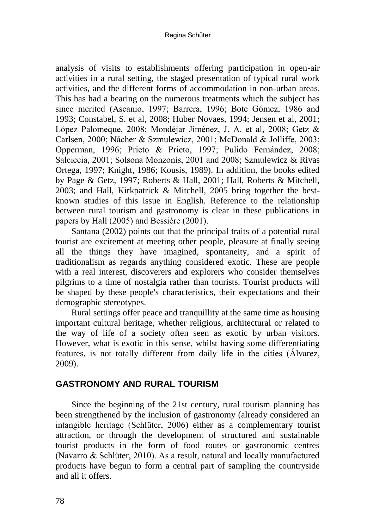#### Regina Schüter

analysis of visits to establishments offering participation in open-air activities in a rural setting, the staged presentation of typical rural work activities, and the different forms of accommodation in non-urban areas. This has had a bearing on the numerous treatments which the subject has since merited (Ascanio, 1997; Barrera, 1996; Bote Gómez, 1986 and 1993; Constabel, S. et al, 2008; Huber Novaes, 1994; Jensen et al, 2001; López Palomeque, 2008; Mondéjar Jiménez, J. A. et al, 2008; Getz & Carlsen, 2000; Nácher & Szmulewicz, 2001; McDonald & Jolliffe, 2003; Opperman, 1996; Prieto & Prieto, 1997; Pulido Fernández, 2008; Salciccia, 2001; Solsona Monzonís, 2001 and 2008; Szmulewicz & Rivas Ortega, 1997; Knight, 1986; Kousis, 1989). In addition, the books edited by Page & Getz, 1997; Roberts & Hall, 2001; Hall, Roberts & Mitchell, 2003; and Hall, Kirkpatrick & Mitchell, 2005 bring together the bestknown studies of this issue in English. Reference to the relationship between rural tourism and gastronomy is clear in these publications in papers by Hall (2005) and Bessière (2001).

Santana (2002) points out that the principal traits of a potential rural tourist are excitement at meeting other people, pleasure at finally seeing all the things they have imagined, spontaneity, and a spirit of traditionalism as regards anything considered exotic. These are people with a real interest, discoverers and explorers who consider themselves pilgrims to a time of nostalgia rather than tourists. Tourist products will be shaped by these people's characteristics, their expectations and their demographic stereotypes.

Rural settings offer peace and tranquillity at the same time as housing important cultural heritage, whether religious, architectural or related to the way of life of a society often seen as exotic by urban visitors. However, what is exotic in this sense, whilst having some differentiating features, is not totally different from daily life in the cities (Álvarez, 2009).

### **GASTRONOMY AND RURAL TOURISM**

Since the beginning of the 21st century, rural tourism planning has been strengthened by the inclusion of gastronomy (already considered an intangible heritage (Schlüter, 2006) either as a complementary tourist attraction, or through the development of structured and sustainable tourist products in the form of food routes or gastronomic centres (Navarro & Schlüter, 2010). As a result, natural and locally manufactured products have begun to form a central part of sampling the countryside and all it offers.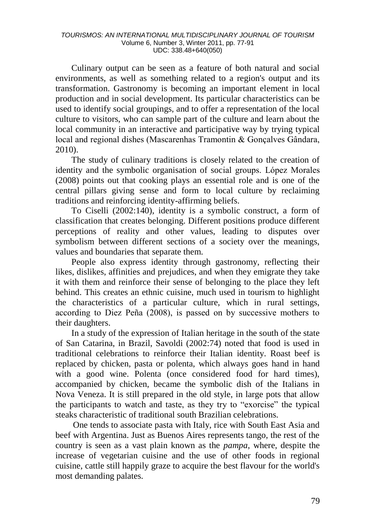Culinary output can be seen as a feature of both natural and social environments, as well as something related to a region's output and its transformation. Gastronomy is becoming an important element in local production and in social development. Its particular characteristics can be used to identify social groupings, and to offer a representation of the local culture to visitors, who can sample part of the culture and learn about the local community in an interactive and participative way by trying typical local and regional dishes (Mascarenhas Tramontin & Gonçalves Gândara, 2010).

The study of culinary traditions is closely related to the creation of identity and the symbolic organisation of social groups. López Morales (2008) points out that cooking plays an essential role and is one of the central pillars giving sense and form to local culture by reclaiming traditions and reinforcing identity-affirming beliefs.

To Ciselli (2002:140), identity is a symbolic construct, a form of classification that creates belonging. Different positions produce different perceptions of reality and other values, leading to disputes over symbolism between different sections of a society over the meanings, values and boundaries that separate them.

People also express identity through gastronomy, reflecting their likes, dislikes, affinities and prejudices, and when they emigrate they take it with them and reinforce their sense of belonging to the place they left behind. This creates an ethnic cuisine, much used in tourism to highlight the characteristics of a particular culture, which in rural settings, according to Diez Peña (2008), is passed on by successive mothers to their daughters.

In a study of the expression of Italian heritage in the south of the state of San Catarina, in Brazil, Savoldi (2002:74) noted that food is used in traditional celebrations to reinforce their Italian identity. Roast beef is replaced by chicken, pasta or polenta, which always goes hand in hand with a good wine. Polenta (once considered food for hard times), accompanied by chicken, became the symbolic dish of the Italians in Nova Veneza. It is still prepared in the old style, in large pots that allow the participants to watch and taste, as they try to "exorcise" the typical steaks characteristic of traditional south Brazilian celebrations.

One tends to associate pasta with Italy, rice with South East Asia and beef with Argentina. Just as Buenos Aires represents tango, the rest of the country is seen as a vast plain known as the *pampa*, where, despite the increase of vegetarian cuisine and the use of other foods in regional cuisine, cattle still happily graze to acquire the best flavour for the world's most demanding palates.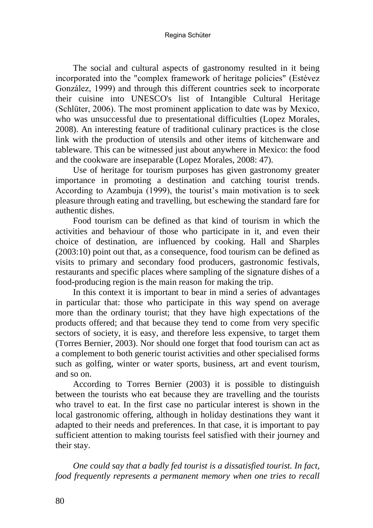Regina Schüter

The social and cultural aspects of gastronomy resulted in it being incorporated into the "complex framework of heritage policies" (Estévez González, 1999) and through this different countries seek to incorporate their cuisine into UNESCO's list of Intangible Cultural Heritage (Schlüter, 2006). The most prominent application to date was by Mexico, who was unsuccessful due to presentational difficulties (Lopez Morales, 2008). An interesting feature of traditional culinary practices is the close link with the production of utensils and other items of kitchenware and tableware. This can be witnessed just about anywhere in Mexico: the food and the cookware are inseparable (Lopez Morales, 2008: 47).

Use of heritage for tourism purposes has given gastronomy greater importance in promoting a destination and catching tourist trends. According to Azambuja (1999), the tourist's main motivation is to seek pleasure through eating and travelling, but eschewing the standard fare for authentic dishes.

Food tourism can be defined as that kind of tourism in which the activities and behaviour of those who participate in it, and even their choice of destination, are influenced by cooking. Hall and Sharples (2003:10) point out that, as a consequence, food tourism can be defined as visits to primary and secondary food producers, gastronomic festivals, restaurants and specific places where sampling of the signature dishes of a food-producing region is the main reason for making the trip.

In this context it is important to bear in mind a series of advantages in particular that: those who participate in this way spend on average more than the ordinary tourist; that they have high expectations of the products offered; and that because they tend to come from very specific sectors of society, it is easy, and therefore less expensive, to target them (Torres Bernier, 2003). Nor should one forget that food tourism can act as a complement to both generic tourist activities and other specialised forms such as golfing, winter or water sports, business, art and event tourism, and so on.

According to Torres Bernier (2003) it is possible to distinguish between the tourists who eat because they are travelling and the tourists who travel to eat. In the first case no particular interest is shown in the local gastronomic offering, although in holiday destinations they want it adapted to their needs and preferences. In that case, it is important to pay sufficient attention to making tourists feel satisfied with their journey and their stay.

*One could say that a badly fed tourist is a dissatisfied tourist. In fact, food frequently represents a permanent memory when one tries to recall*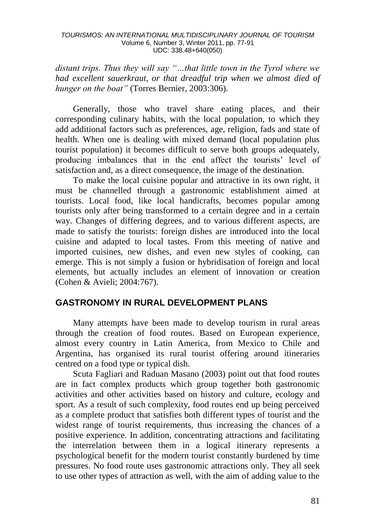*distant trips. Thus they will say "…that little town in the Tyrol where we had excellent sauerkraut, or that dreadful trip when we almost died of hunger on the boat"* (Torres Bernier, 2003:306).

Generally, those who travel share eating places, and their corresponding culinary habits, with the local population, to which they add additional factors such as preferences, age, religion, fads and state of health. When one is dealing with mixed demand (local population plus tourist population) it becomes difficult to serve both groups adequately, producing imbalances that in the end affect the tourists' level of satisfaction and, as a direct consequence, the image of the destination.

To make the local cuisine popular and attractive in its own right, it must be channelled through a gastronomic establishment aimed at tourists. Local food, like local handicrafts, becomes popular among tourists only after being transformed to a certain degree and in a certain way. Changes of differing degrees, and to various different aspects, are made to satisfy the tourists: foreign dishes are introduced into the local cuisine and adapted to local tastes. From this meeting of native and imported cuisines, new dishes, and even new styles of cooking, can emerge. This is not simply a fusion or hybridisation of foreign and local elements, but actually includes an element of innovation or creation (Cohen & Avieli; 2004:767).

### **GASTRONOMY IN RURAL DEVELOPMENT PLANS**

Many attempts have been made to develop tourism in rural areas through the creation of food routes. Based on European experience, almost every country in Latin America, from Mexico to Chile and Argentina, has organised its rural tourist offering around itineraries centred on a food type or typical dish.

Scuta Fagliari and Raduan Masano (2003) point out that food routes are in fact complex products which group together both gastronomic activities and other activities based on history and culture, ecology and sport. As a result of such complexity, food routes end up being perceived as a complete product that satisfies both different types of tourist and the widest range of tourist requirements, thus increasing the chances of a positive experience. In addition, concentrating attractions and facilitating the interrelation between them in a logical itinerary represents a psychological benefit for the modern tourist constantly burdened by time pressures. No food route uses gastronomic attractions only. They all seek to use other types of attraction as well, with the aim of adding value to the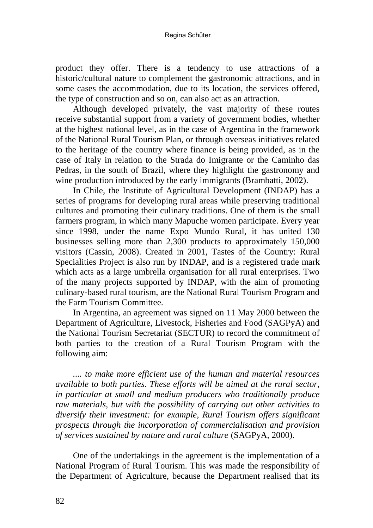product they offer. There is a tendency to use attractions of a historic/cultural nature to complement the gastronomic attractions, and in some cases the accommodation, due to its location, the services offered, the type of construction and so on, can also act as an attraction.

Although developed privately, the vast majority of these routes receive substantial support from a variety of government bodies, whether at the highest national level, as in the case of Argentina in the framework of the National Rural Tourism Plan, or through overseas initiatives related to the heritage of the country where finance is being provided, as in the case of Italy in relation to the Strada do Imigrante or the Caminho das Pedras, in the south of Brazil, where they highlight the gastronomy and wine production introduced by the early immigrants (Brambatti, 2002).

In Chile, the Institute of Agricultural Development (INDAP) has a series of programs for developing rural areas while preserving traditional cultures and promoting their culinary traditions. One of them is the small farmers program, in which many Mapuche women participate. Every year since 1998, under the name Expo Mundo Rural, it has united 130 businesses selling more than 2,300 products to approximately 150,000 visitors (Cassin, 2008). Created in 2001, Tastes of the Country: Rural Specialities Project is also run by INDAP, and is a registered trade mark which acts as a large umbrella organisation for all rural enterprises. Two of the many projects supported by INDAP, with the aim of promoting culinary-based rural tourism, are the National Rural Tourism Program and the Farm Tourism Committee.

In Argentina, an agreement was signed on 11 May 2000 between the Department of Agriculture, Livestock, Fisheries and Food (SAGPyA) and the National Tourism Secretariat (SECTUR) to record the commitment of both parties to the creation of a Rural Tourism Program with the following aim:

*.... to make more efficient use of the human and material resources available to both parties. These efforts will be aimed at the rural sector, in particular at small and medium producers who traditionally produce raw materials, but with the possibility of carrying out other activities to diversify their investment: for example, Rural Tourism offers significant prospects through the incorporation of commercialisation and provision of services sustained by nature and rural culture* (SAGPyA, 2000).

One of the undertakings in the agreement is the implementation of a National Program of Rural Tourism. This was made the responsibility of the Department of Agriculture, because the Department realised that its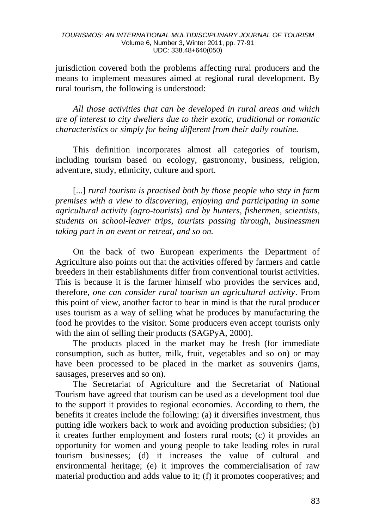jurisdiction covered both the problems affecting rural producers and the means to implement measures aimed at regional rural development. By rural tourism, the following is understood:

*All those activities that can be developed in rural areas and which are of interest to city dwellers due to their exotic, traditional or romantic characteristics or simply for being different from their daily routine.*

This definition incorporates almost all categories of tourism, including tourism based on ecology, gastronomy, business, religion, adventure, study, ethnicity, culture and sport.

[...] *rural tourism is practised both by those people who stay in farm premises with a view to discovering, enjoying and participating in some agricultural activity (agro-tourists) and by hunters, fishermen, scientists, students on school-leaver trips, tourists passing through, businessmen taking part in an event or retreat, and so on.* 

On the back of two European experiments the Department of Agriculture also points out that the activities offered by farmers and cattle breeders in their establishments differ from conventional tourist activities. This is because it is the farmer himself who provides the services and, therefore, *one can consider rural tourism an agricultural activity*. From this point of view, another factor to bear in mind is that the rural producer uses tourism as a way of selling what he produces by manufacturing the food he provides to the visitor. Some producers even accept tourists only with the aim of selling their products (SAGPyA, 2000).

The products placed in the market may be fresh (for immediate consumption, such as butter, milk, fruit, vegetables and so on) or may have been processed to be placed in the market as souvenirs (jams, sausages, preserves and so on).

The Secretariat of Agriculture and the Secretariat of National Tourism have agreed that tourism can be used as a development tool due to the support it provides to regional economies. According to them, the benefits it creates include the following: (a) it diversifies investment, thus putting idle workers back to work and avoiding production subsidies; (b) it creates further employment and fosters rural roots; (c) it provides an opportunity for women and young people to take leading roles in rural tourism businesses; (d) it increases the value of cultural and environmental heritage; (e) it improves the commercialisation of raw material production and adds value to it; (f) it promotes cooperatives; and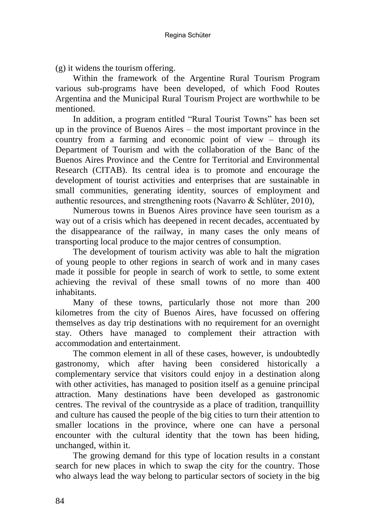(g) it widens the tourism offering.

Within the framework of the Argentine Rural Tourism Program various sub-programs have been developed, of which Food Routes Argentina and the Municipal Rural Tourism Project are worthwhile to be mentioned.

In addition, a program entitled "Rural Tourist Towns" has been set up in the province of Buenos Aires – the most important province in the country from a farming and economic point of view – through its Department of Tourism and with the collaboration of the Banc of the Buenos Aires Province and the Centre for Territorial and Environmental Research (CITAB). Its central idea is to promote and encourage the development of tourist activities and enterprises that are sustainable in small communities, generating identity, sources of employment and authentic resources, and strengthening roots (Navarro & Schlüter, 2010),

Numerous towns in Buenos Aires province have seen tourism as a way out of a crisis which has deepened in recent decades, accentuated by the disappearance of the railway, in many cases the only means of transporting local produce to the major centres of consumption.

The development of tourism activity was able to halt the migration of young people to other regions in search of work and in many cases made it possible for people in search of work to settle, to some extent achieving the revival of these small towns of no more than 400 inhabitants.

Many of these towns, particularly those not more than 200 kilometres from the city of Buenos Aires, have focussed on offering themselves as day trip destinations with no requirement for an overnight stay. Others have managed to complement their attraction with accommodation and entertainment.

The common element in all of these cases, however, is undoubtedly gastronomy, which after having been considered historically a complementary service that visitors could enjoy in a destination along with other activities, has managed to position itself as a genuine principal attraction. Many destinations have been developed as gastronomic centres. The revival of the countryside as a place of tradition, tranquillity and culture has caused the people of the big cities to turn their attention to smaller locations in the province, where one can have a personal encounter with the cultural identity that the town has been hiding, unchanged, within it.

The growing demand for this type of location results in a constant search for new places in which to swap the city for the country. Those who always lead the way belong to particular sectors of society in the big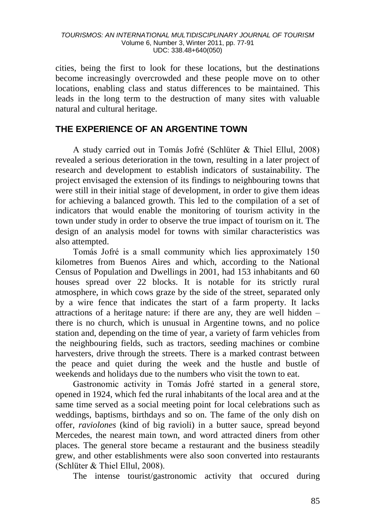cities, being the first to look for these locations, but the destinations become increasingly overcrowded and these people move on to other locations, enabling class and status differences to be maintained. This leads in the long term to the destruction of many sites with valuable natural and cultural heritage.

### **THE EXPERIENCE OF AN ARGENTINE TOWN**

A study carried out in Tomás Jofré (Schlüter & Thiel Ellul, 2008) revealed a serious deterioration in the town, resulting in a later project of research and development to establish indicators of sustainability. The project envisaged the extension of its findings to neighbouring towns that were still in their initial stage of development, in order to give them ideas for achieving a balanced growth. This led to the compilation of a set of indicators that would enable the monitoring of tourism activity in the town under study in order to observe the true impact of tourism on it. The design of an analysis model for towns with similar characteristics was also attempted.

Tomás Jofré is a small community which lies approximately 150 kilometres from Buenos Aires and which, according to the National Census of Population and Dwellings in 2001, had 153 inhabitants and 60 houses spread over 22 blocks. It is notable for its strictly rural atmosphere, in which cows graze by the side of the street, separated only by a wire fence that indicates the start of a farm property. It lacks attractions of a heritage nature: if there are any, they are well hidden – there is no church, which is unusual in Argentine towns, and no police station and, depending on the time of year, a variety of farm vehicles from the neighbouring fields, such as tractors, seeding machines or combine harvesters, drive through the streets. There is a marked contrast between the peace and quiet during the week and the hustle and bustle of weekends and holidays due to the numbers who visit the town to eat.

Gastronomic activity in Tomás Jofré started in a general store, opened in 1924, which fed the rural inhabitants of the local area and at the same time served as a social meeting point for local celebrations such as weddings, baptisms, birthdays and so on. The fame of the only dish on offer, *raviolones* (kind of big ravioli) in a butter sauce, spread beyond Mercedes, the nearest main town, and word attracted diners from other places. The general store became a restaurant and the business steadily grew, and other establishments were also soon converted into restaurants (Schlüter & Thiel Ellul, 2008).

The intense tourist/gastronomic activity that occured during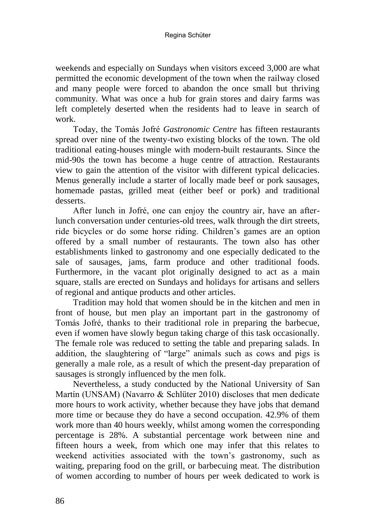#### Regina Schüter

weekends and especially on Sundays when visitors exceed 3,000 are what permitted the economic development of the town when the railway closed and many people were forced to abandon the once small but thriving community. What was once a hub for grain stores and dairy farms was left completely deserted when the residents had to leave in search of work.

Today, the Tomás Jofré *Gastronomic Centre* has fifteen restaurants spread over nine of the twenty-two existing blocks of the town. The old traditional eating-houses mingle with modern-built restaurants. Since the mid-90s the town has become a huge centre of attraction. Restaurants view to gain the attention of the visitor with different typical delicacies. Menus generally include a starter of locally made beef or pork sausages, homemade pastas, grilled meat (either beef or pork) and traditional desserts.

After lunch in Jofré, one can enjoy the country air, have an afterlunch conversation under centuries-old trees, walk through the dirt streets, ride bicycles or do some horse riding. Children's games are an option offered by a small number of restaurants. The town also has other establishments linked to gastronomy and one especially dedicated to the sale of sausages, jams, farm produce and other traditional foods. Furthermore, in the vacant plot originally designed to act as a main square, stalls are erected on Sundays and holidays for artisans and sellers of regional and antique products and other articles.

Tradition may hold that women should be in the kitchen and men in front of house, but men play an important part in the gastronomy of Tomás Jofré, thanks to their traditional role in preparing the barbecue, even if women have slowly begun taking charge of this task occasionally. The female role was reduced to setting the table and preparing salads. In addition, the slaughtering of "large" animals such as cows and pigs is generally a male role, as a result of which the present-day preparation of sausages is strongly influenced by the men folk.

Nevertheless, a study conducted by the National University of San Martín (UNSAM) (Navarro & Schlüter 2010) discloses that men dedicate more hours to work activity, whether because they have jobs that demand more time or because they do have a second occupation. 42.9% of them work more than 40 hours weekly, whilst among women the corresponding percentage is 28%. A substantial percentage work between nine and fifteen hours a week, from which one may infer that this relates to weekend activities associated with the town's gastronomy, such as waiting, preparing food on the grill, or barbecuing meat. The distribution of women according to number of hours per week dedicated to work is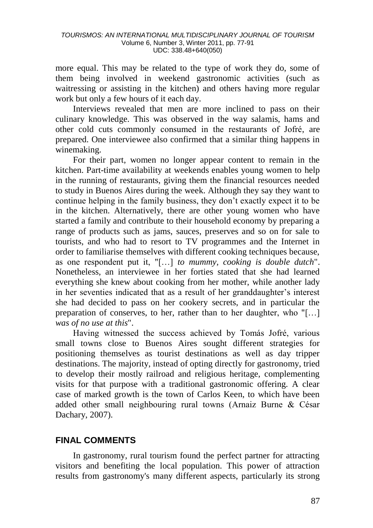more equal. This may be related to the type of work they do, some of them being involved in weekend gastronomic activities (such as waitressing or assisting in the kitchen) and others having more regular work but only a few hours of it each day.

Interviews revealed that men are more inclined to pass on their culinary knowledge. This was observed in the way salamis, hams and other cold cuts commonly consumed in the restaurants of Jofré, are prepared. One interviewee also confirmed that a similar thing happens in winemaking.

For their part, women no longer appear content to remain in the kitchen. Part-time availability at weekends enables young women to help in the running of restaurants, giving them the financial resources needed to study in Buenos Aires during the week. Although they say they want to continue helping in the family business, they don't exactly expect it to be in the kitchen. Alternatively, there are other young women who have started a family and contribute to their household economy by preparing a range of products such as jams, sauces, preserves and so on for sale to tourists, and who had to resort to TV programmes and the Internet in order to familiarise themselves with different cooking techniques because, as one respondent put it, "[…] *to mummy, cooking is double dutch*". Nonetheless, an interviewee in her forties stated that she had learned everything she knew about cooking from her mother, while another lady in her seventies indicated that as a result of her granddaughter's interest she had decided to pass on her cookery secrets, and in particular the preparation of conserves, to her, rather than to her daughter, who "[…] *was of no use at this*".

Having witnessed the success achieved by Tomás Jofré, various small towns close to Buenos Aires sought different strategies for positioning themselves as tourist destinations as well as day tripper destinations. The majority, instead of opting directly for gastronomy, tried to develop their mostly railroad and religious heritage, complementing visits for that purpose with a traditional gastronomic offering. A clear case of marked growth is the town of Carlos Keen, to which have been added other small neighbouring rural towns (Arnaiz Burne & César Dachary, 2007).

## **FINAL COMMENTS**

In gastronomy, rural tourism found the perfect partner for attracting visitors and benefiting the local population. This power of attraction results from gastronomy's many different aspects, particularly its strong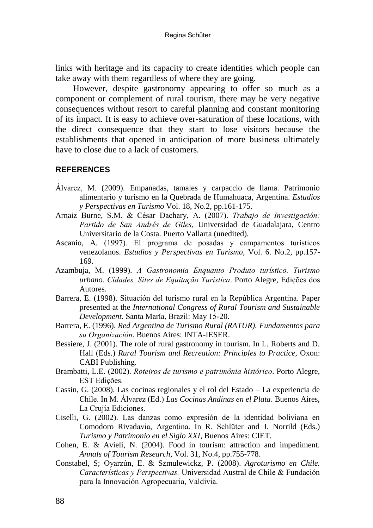links with heritage and its capacity to create identities which people can take away with them regardless of where they are going.

However, despite gastronomy appearing to offer so much as a component or complement of rural tourism, there may be very negative consequences without resort to careful planning and constant monitoring of its impact. It is easy to achieve over-saturation of these locations, with the direct consequence that they start to lose visitors because the establishments that opened in anticipation of more business ultimately have to close due to a lack of customers.

### **REFERENCES**

- Álvarez, M. (2009). Empanadas, tamales y carpaccio de llama. Patrimonio alimentario y turismo en la Quebrada de Humahuaca, Argentina. *Estudios y Perspectivas en Turismo* Vol. 18, No.2, pp.161-175.
- Arnaiz Burne, S.M. & César Dachary, A. (2007). *Trabajo de Investigación: Partido de San Andrés de Giles*, Universidad de Guadalajara, Centro Universitario de la Costa. Puerto Vallarta (unedited).
- Ascanio, A. (1997). El programa de posadas y campamentos turísticos venezolanos. *Estudios y Perspectivas en Turismo,* Vol. 6. No.2, pp.157- 169.
- Azambuja, M. (1999). *A Gastronomia Enquanto Produto turístico. Turismo urbano. Cidades, Sites de Equitação Turística*. Porto Alegre, Edições dos Autores.
- Barrera, E. (1998). Situación del turismo rural en la República Argentina. Paper presented at the *International Congress of Rural Tourism and Sustainable Development*. Santa María, Brazil: May 15-20.
- Barrera, E. (1996). *Red Argentina de Turismo Rural (RATUR). Fundamentos para su Organización*. Buenos Aires: INTA-IESER.
- Bessiere, J. (2001). The role of rural gastronomy in tourism. In L. Roberts and D. Hall (Eds.) *Rural Tourism and Recreation: Principles to Practice,* Oxon: CABI Publishing.
- Brambatti, L.E. (2002). *Roteiros de turismo e patrimônia histórico*. Porto Alegre, EST Edições.
- Cassin, G. (2008). Las cocinas regionales y el rol del Estado La experiencia de Chile. In M. Álvarez (Ed.) *Las Cocinas Andinas en el Plata*. Buenos Aires, La Crujía Ediciones.
- Ciselli, G. (2002). Las danzas como expresión de la identidad boliviana en Comodoro Rivadavia, Argentina. In R. Schlüter and J. Norrild (Eds.) *Turismo y Patrimonio en el Siglo XXI*, Buenos Aires: CIET.
- Cohen, E. & Avieli, N. (2004). Food in tourism: attraction and impediment. *Annals of Tourism Research,* Vol. 31, No.4, pp.755-778.
- Constabel, S; Oyarzún, E. & Szmulewickz, P. (2008). *Agroturismo en Chile. Características y Perspectivas.* Universidad Austral de Chile & Fundación para la Innovación Agropecuaria, Valdivia.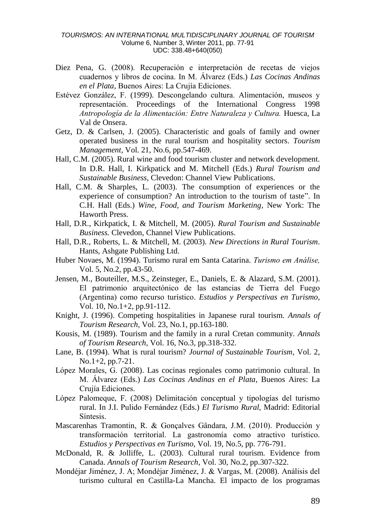- Diez Pena, G. (2008). Recuperación e interpretación de recetas de viejos cuadernos y libros de cocina. In M. Álvarez (Eds.) *Las Cocinas Andinas en el Plata,* Buenos Aires: La Crujía Ediciones.
- Estévez González, F. (1999). Descongelando cultura. Alimentación, museos y representación. Proceedings of the International Congress 1998 *Antropología de la Alimentación: Entre Naturaleza y Cultura.* Huesca, La Val de Onsera.
- Getz, D. & Carlsen, J. (2005). Characteristic and goals of family and owner operated business in the rural tourism and hospitality sectors. *Tourism Management*, Vol. 21, No.6, pp.547-469.
- Hall, C.M. (2005). Rural wine and food tourism cluster and network development. In D.R. Hall, I. Kirkpatick and M. Mitchell (Eds.) *Rural Tourism and Sustainable Business,* Clevedon: Channel View Publications.
- Hall, C.M. & Sharples, L. (2003). The consumption of experiences or the experience of consumption? An introduction to the tourism of taste". In C.H. Hall (Eds.) *Wine, Food, and Tourism Marketing,* New York: The Haworth Press.
- Hall, D.R., Kirkpatick, I. & Mitchell, M. (2005). *Rural Tourism and Sustainable Business.* Clevedon, Channel View Publications.
- Hall, D.R., Roberts, L. & Mitchell, M. (2003). *New Directions in Rural Tourism*. Hants, Ashgate Publishing Ltd.
- Huber Novaes, M. (1994). Turismo rural em Santa Catarina. *Turismo em Análise,* Vol. 5, No.2, pp.43-50.
- Jensen, M., Bouteiller, M.S., Zeinsteger, E., Daniels, E. & Alazard, S.M. (2001). El patrimonio arquitectónico de las estancias de Tierra del Fuego (Argentina) como recurso turístico. *Estudios y Perspectivas en Turismo,* Vol. 10, No.1+2, pp.91-112.
- Knight, J. (1996). Competing hospitalities in Japanese rural tourism. *Annals of Tourism Research,* Vol. 23, No.1, pp.163-180.
- Kousis, M. (1989). Tourism and the family in a rural Cretan community. *Annals of Tourism Research,* Vol. 16, No.3, pp.318-332.
- Lane, B. (1994). What is rural tourism? *Journal of Sustainable Tourism*, Vol. 2, No.1+2, pp.7-21.
- López Morales, G. (2008). Las cocinas regionales como patrimonio cultural. In M. Álvarez (Eds.) *Las Cocinas Andinas en el Plata,* Buenos Aires: La Crujía Ediciones.
- López Palomeque, F. (2008) Delimitación conceptual y tipologías del turismo rural. In J.I. Pulido Fernández (Eds.) *El Turismo Rural,* Madrid: Editorial Síntesis.
- Mascarenhas Tramontin, R. & Gonçalves Gândara, J.M. (2010). Producción y transformación territorial. La gastronomía como atractivo turístico. *Estudios y Perspectivas en Turismo,* Vol. 19, No.5, pp. 776-791.
- McDonald, R. & Jolliffe, L. (2003). Cultural rural tourism. Evidence from Canada. *Annals of Tourism Research*, Vol. 30, No.2, pp.307-322.
- Mondéjar Jiménez, J. A; Mondéjar Jiménez, J. & Vargas, M. (2008). Análisis del turismo cultural en Castilla-La Mancha. El impacto de los programas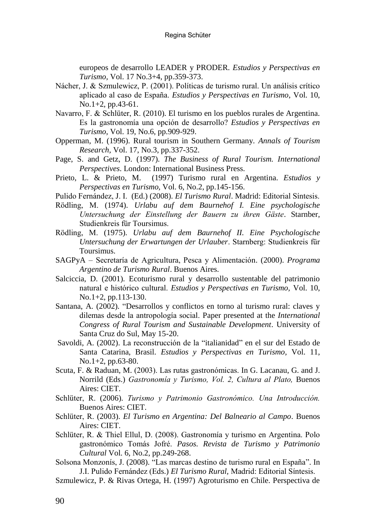europeos de desarrollo LEADER y PRODER. *Estudios y Perspectivas en Turismo,* Vol. 17 No.3+4, pp.359-373.

- Nácher, J. & Szmulewicz, P. (2001). Políticas de turismo rural. Un análisis crítico aplicado al caso de España. *Estudios y Perspectivas en Turismo*, Vol. 10, No.1+2, pp.43-61.
- Navarro, F. & Schlüter, R. (2010). El turismo en los pueblos rurales de Argentina. Es la gastronomía una opción de desarrollo? *Estudios y Perspectivas en Turismo*, Vol. 19, No.6, pp.909-929.
- Opperman, M. (1996). Rural tourism in Southern Germany. *Annals of Tourism Research,* Vol. 17, No.3, pp.337-352.
- Page, S. and Getz, D. (1997). *The Business of Rural Tourism. International Perspectives*. London: International Business Press.
- Prieto, L. & Prieto, M. (1997) Turismo rural en Argentina. *Estudios y Perspectivas en Turismo,* Vol. 6, No.2, pp.145-156.
- Pulido Fernández, J. I. (Ed.) (2008). *El Turismo Rural*. Madrid: Editorial Síntesis.
- Rödling, M. (1974). *Urlabu auf dem Baurnehof I. Eine psychologische Untersuchung der Einstellung der Bauern zu ihren Gäste*. Starnber, Studienkreis für Toursimus.
- Rödling, M. (1975). *Urlabu auf dem Baurnehof II. Eine Psychologische Untersuchung der Erwartungen der Urlauber*. Starnberg: Studienkreis für Toursimus.
- SAGPyA Secretaría de Agricultura, Pesca y Alimentación. (2000). *Programa Argentino de Turismo Rural*. Buenos Aires.
- Salciccia, D. (2001). Ecoturismo rural y desarrollo sustentable del patrimonio natural e histórico cultural. *Estudios y Perspectivas en Turismo,* Vol. 10, No.1+2, pp.113-130.
- Santana, A. (2002). "Desarrollos y conflictos en torno al turismo rural: claves y dilemas desde la antropología social. Paper presented at the *International Congress of Rural Tourism and Sustainable Development*. University of Santa Cruz do Sul, May 15-20.
- Savoldi, A. (2002). La reconstrucción de la "italianidad" en el sur del Estado de Santa Catarina, Brasil. *Estudios y Perspectivas en Turismo,* Vol. 11, No.1+2, pp.63-80.
- Scuta, F. & Raduan, M. (2003). Las rutas gastronómicas. In G. Lacanau, G. and J. Norrild (Eds.) *Gastronomía y Turismo, Vol. 2, Cultura al Plato,* Buenos Aires: CIET.
- Schlüter, R. (2006). *Turismo y Patrimonio Gastronómico. Una Introducción.* Buenos Aires: CIET.
- Schlüter, R. (2003). *El Turismo en Argentina: Del Balneario al Campo*. Buenos Aires: CIET.
- Schlüter, R. & Thiel Ellul, D. (2008). Gastronomía y turismo en Argentina. Polo gastronómico Tomás Jofré. *Pasos. Revista de Turismo y Patrimonio Cultural* Vol. 6, No.2, pp.249-268.
- Solsona Monzonís, J. (2008). "Las marcas destino de turismo rural en España". In J.I. Pulido Fernández (Eds.) *El Turismo Rural,* Madrid: Editorial Síntesis.
- Szmulewicz, P. & Rivas Ortega, H. (1997) Agroturismo en Chile. Perspectiva de